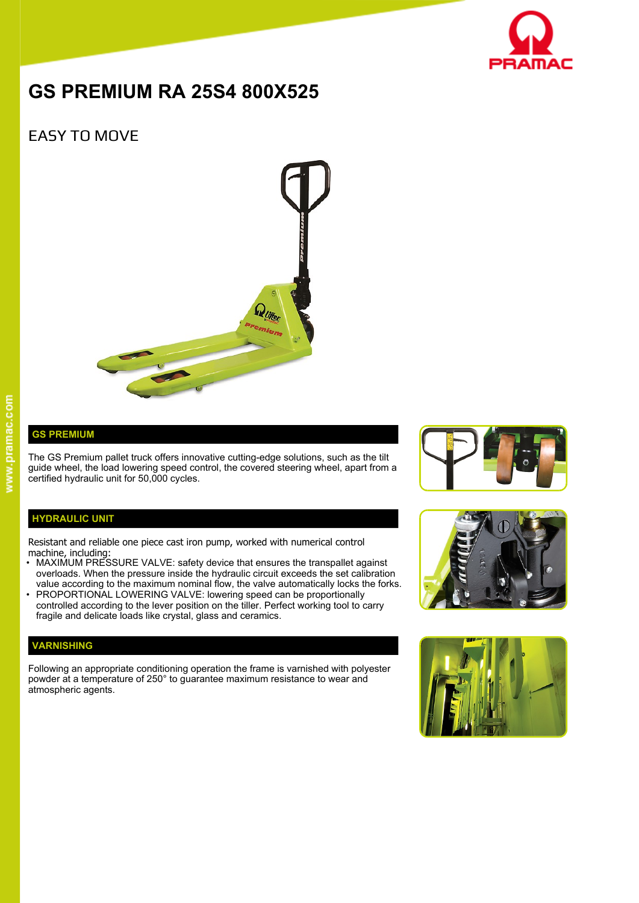

# **GS PREMIUM RA 25S4 800X525**

## EASY TO MOVE



### **GS PREMIUM**

The GS Premium pallet truck offers innovative cutting-edge solutions, such as the tilt guide wheel, the load lowering speed control, the covered steering wheel, apart from a certified hydraulic unit for 50,000 cycles.

#### **HYDRAULIC UNIT**

Resistant and reliable one piece cast iron pump, worked with numerical control machine, including:

- MAXIMUM PRESSURE VALVE: safety device that ensures the transpallet against overloads. When the pressure inside the hydraulic circuit exceeds the set calibration value according to the maximum nominal flow, the valve automatically locks the forks.
- PROPORTIONAL LOWERING VALVE: lowering speed can be proportionally controlled according to the lever position on the tiller. Perfect working tool to carry fragile and delicate loads like crystal, glass and ceramics.

#### **VARNISHING**

Following an appropriate conditioning operation the frame is varnished with polyester powder at a temperature of 250° to guarantee maximum resistance to wear and atmospheric agents.





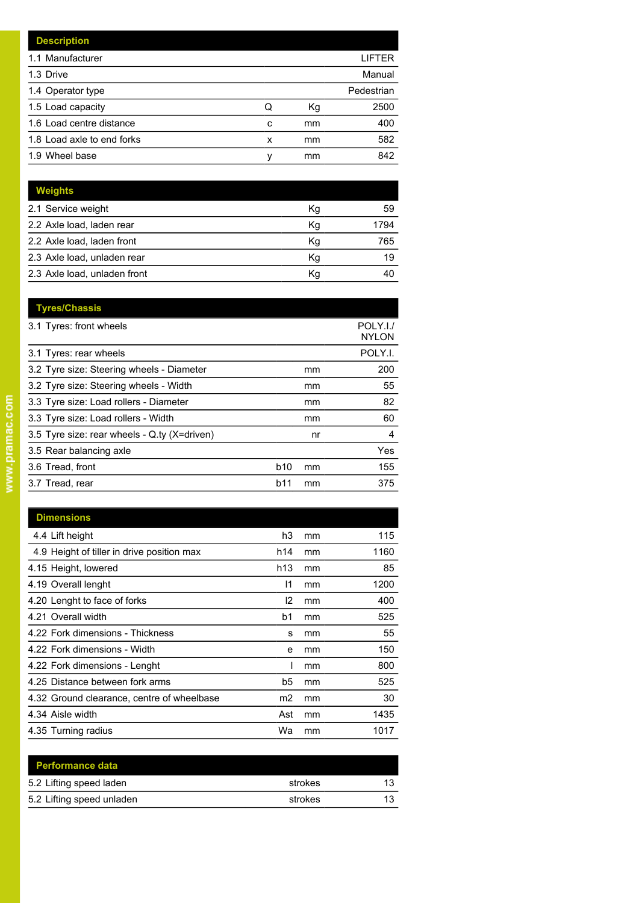|   |    | LIFTER     |
|---|----|------------|
|   |    | Manual     |
|   |    | Pedestrian |
| Q | Кg | 2500       |
| c | mm | 400        |
| x | mm | 582        |
| ν | mm | 842        |
|   |    |            |

| <b>Weights</b>               |    |      |
|------------------------------|----|------|
| 2.1 Service weight           | Kg | 59   |
| 2.2 Axle load, laden rear    | Kg | 1794 |
| 2.2 Axle load, laden front   | Kg | 765  |
| 2.3 Axle load, unladen rear  | Κq | 19   |
| 2.3 Axle load, unladen front | Кq | 4(   |

| <b>Tyres/Chassis</b>                         |            |    |                          |
|----------------------------------------------|------------|----|--------------------------|
| 3.1 Tyres: front wheels                      |            |    | POLY.I./<br><b>NYLON</b> |
| 3.1 Tyres: rear wheels                       |            |    | POLY.I.                  |
| 3.2 Tyre size: Steering wheels - Diameter    |            | mm | 200                      |
| 3.2 Tyre size: Steering wheels - Width       |            | mm | 55                       |
| 3.3 Tyre size: Load rollers - Diameter       |            | mm | 82                       |
| 3.3 Tyre size: Load rollers - Width          |            | mm | 60                       |
| 3.5 Tyre size: rear wheels - Q.ty (X=driven) |            | nr | 4                        |
| 3.5 Rear balancing axle                      |            |    | Yes                      |
| 3.6 Tread, front                             | <b>b10</b> | mm | 155                      |
| 3.7 Tread, rear                              | b11        | mm | 375                      |
|                                              |            |    |                          |

| <b>Dimensions</b>                          |                |    |      |
|--------------------------------------------|----------------|----|------|
| 4.4 Lift height                            | h3             | mm | 115  |
| 4.9 Height of tiller in drive position max | h14            | mm | 1160 |
| 4.15 Height, lowered                       | h13            | mm | 85   |
| 4.19 Overall lenght                        | 11             | mm | 1200 |
| 4.20 Lenght to face of forks               | 12             | mm | 400  |
| 4.21 Overall width                         | b <sub>1</sub> | mm | 525  |
| 4.22 Fork dimensions - Thickness           | s              | mm | 55   |
| 4.22 Fork dimensions - Width               | e              | mm | 150  |
| 4.22 Fork dimensions - Lenght              |                | mm | 800  |
| 4.25 Distance between fork arms            | b5             | mm | 525  |
| 4.32 Ground clearance, centre of wheelbase | m2             | mm | 30   |
| 4.34 Aisle width                           | Ast            | mm | 1435 |
| 4.35 Turning radius                        | Wa             | mm | 1017 |

| <b>Performance data</b>   |         |    |
|---------------------------|---------|----|
| 5.2 Lifting speed laden   | strokes | 13 |
| 5.2 Lifting speed unladen | strokes | 13 |
|                           |         |    |